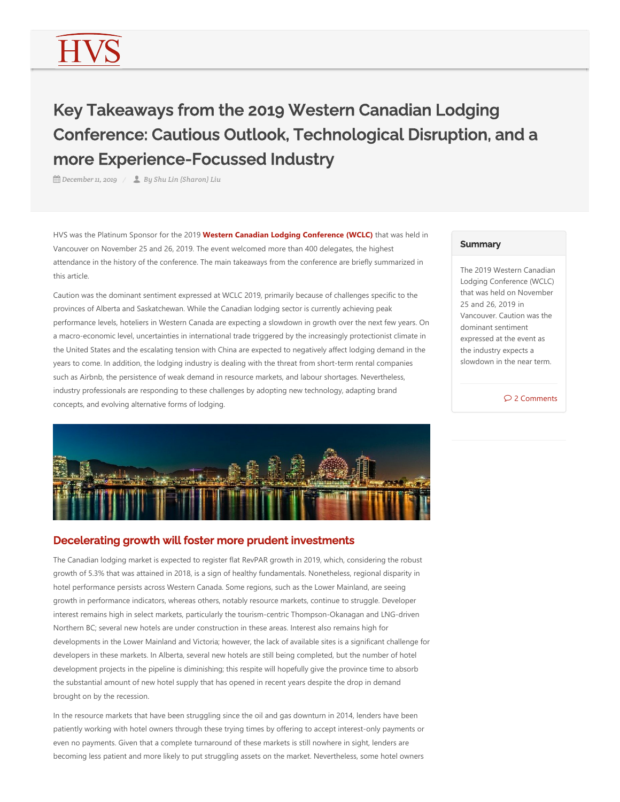# Key Takeaways from the 2019 Western Canadian Lodging Conference: Cautious Outlook, Technological Disruption, and a more Experience-Focussed Industry

*December 11, 2019 By Shu Lin (Sharon) Liu*

HVS was the Platinum Sponsor for the 2019 Western Canadian Lodging Conference (WCLC) that was held in Vancouver on November 25 and 26, 2019. The event welcomed more than 400 delegates, the highest attendance in the history of the conference. The main takeaways from the conference are briefly summarized in this article.

Caution was the dominant sentiment expressed at WCLC 2019, primarily because of challenges specific to the provinces of Alberta and Saskatchewan. While the Canadian lodging sector is currently achieving peak performance levels, hoteliers in Western Canada are expecting a slowdown in growth over the next few years. On a macro‐economic level, uncertainties in international trade triggered by the increasingly protectionist climate in the United States and the escalating tension with China are expected to negatively affect lodging demand in the years to come. In addition, the lodging industry is dealing with the threat from short-term rental companies such as Airbnb, the persistence of weak demand in resource markets, and labour shortages. Nevertheless, industry professionals are responding to these challenges by adopting new technology, adapting brand concepts, and evolving alternative forms of lodging.



## Decelerating growth will foster more prudent investments

The Canadian lodging market is expected to register flat RevPAR growth in 2019, which, considering the robust growth of 5.3% that was attained in 2018, is a sign of healthy fundamentals. Nonetheless, regional disparity in hotel performance persists across Western Canada. Some regions, such as the Lower Mainland, are seeing growth in performance indicators, whereas others, notably resource markets, continue to struggle. Developer interest remains high in select markets, particularly the tourism-centric Thompson-Okanagan and LNG-driven Northern BC; several new hotels are under construction in these areas. Interest also remains high for developments in the Lower Mainland and Victoria; however, the lack of available sites is a significant challenge for developers in these markets. In Alberta, several new hotels are still being completed, but the number of hotel development projects in the pipeline is diminishing; this respite will hopefully give the province time to absorb the substantial amount of new hotel supply that has opened in recent years despite the drop in demand brought on by the recession.

In the resource markets that have been struggling since the oil and gas downturn in 2014, lenders have been patiently working with hotel owners through these trying times by offering to accept interest‐only payments or even no payments. Given that a complete turnaround of these markets is still nowhere in sight, lenders are becoming less patient and more likely to put struggling assets on the market. Nevertheless, some hotel owners

#### **Summary**

The 2019 Western Canadian Lodging Conference (WCLC) that was held on November 25 and 26, 2019 in Vancouver. Caution was the dominant sentiment expressed at the event as the industry expects a slowdown in the near term.

2 Comments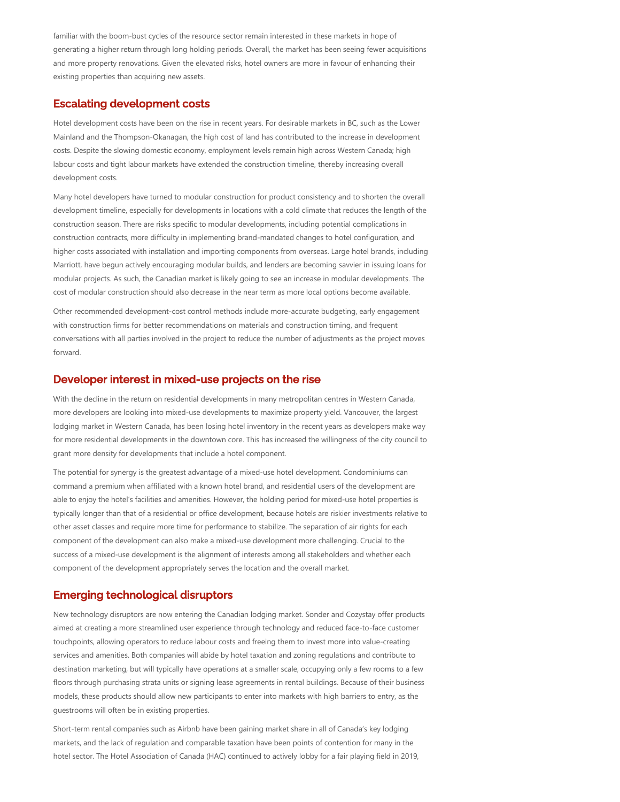familiar with the boom-bust cycles of the resource sector remain interested in these markets in hope of generating a higher return through long holding periods. Overall, the market has been seeing fewer acquisitions and more property renovations. Given the elevated risks, hotel owners are more in favour of enhancing their existing properties than acquiring new assets.

#### Escalating development costs

Hotel development costs have been on the rise in recent years. For desirable markets in BC, such as the Lower Mainland and the Thompson‐Okanagan, the high cost of land has contributed to the increase in development costs. Despite the slowing domestic economy, employment levels remain high across Western Canada; high labour costs and tight labour markets have extended the construction timeline, thereby increasing overall development costs.

Many hotel developers have turned to modular construction for product consistency and to shorten the overall development timeline, especially for developments in locations with a cold climate that reduces the length of the construction season. There are risks specific to modular developments, including potential complications in construction contracts, more difficulty in implementing brand‐mandated changes to hotel configuration, and higher costs associated with installation and importing components from overseas. Large hotel brands, including Marriott, have begun actively encouraging modular builds, and lenders are becoming savvier in issuing loans for modular projects. As such, the Canadian market is likely going to see an increase in modular developments. The cost of modular construction should also decrease in the near term as more local options become available.

Other recommended development‐cost control methods include more‐accurate budgeting, early engagement with construction firms for better recommendations on materials and construction timing, and frequent conversations with all parties involved in the project to reduce the number of adjustments as the project moves forward.

#### Developer interest in mixed-use projects on the rise

With the decline in the return on residential developments in many metropolitan centres in Western Canada, more developers are looking into mixed‐use developments to maximize property yield. Vancouver, the largest lodging market in Western Canada, has been losing hotel inventory in the recent years as developers make way for more residential developments in the downtown core. This has increased the willingness of the city council to grant more density for developments that include a hotel component.

The potential for synergy is the greatest advantage of a mixed-use hotel development. Condominiums can command a premium when affiliated with a known hotel brand, and residential users of the development are able to enjoy the hotel's facilities and amenities. However, the holding period for mixed-use hotel properties is typically longer than that of a residential or office development, because hotels are riskier investments relative to other asset classes and require more time for performance to stabilize. The separation of air rights for each component of the development can also make a mixed‐use development more challenging. Crucial to the success of a mixed‐use development is the alignment of interests among all stakeholders and whether each component of the development appropriately serves the location and the overall market.

#### Emerging technological disruptors

New technology disruptors are now entering the Canadian lodging market. Sonder and Cozystay offer products aimed at creating a more streamlined user experience through technology and reduced face-to-face customer touchpoints, allowing operators to reduce labour costs and freeing them to invest more into value‐creating services and amenities. Both companies will abide by hotel taxation and zoning regulations and contribute to destination marketing, but will typically have operations at a smaller scale, occupying only a few rooms to a few floors through purchasing strata units or signing lease agreements in rental buildings. Because of their business models, these products should allow new participants to enter into markets with high barriers to entry, as the guestrooms will often be in existing properties.

Short-term rental companies such as Airbnb have been gaining market share in all of Canada's key lodging markets, and the lack of regulation and comparable taxation have been points of contention for many in the hotel sector. The Hotel Association of Canada (HAC) continued to actively lobby for a fair playing field in 2019,